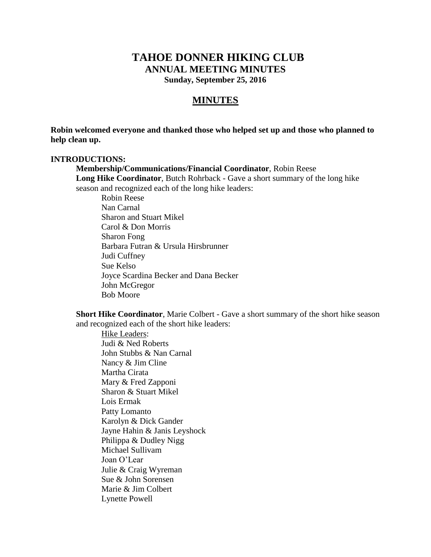# **TAHOE DONNER HIKING CLUB ANNUAL MEETING MINUTES Sunday, September 25, 2016**

# **MINUTES**

**Robin welcomed everyone and thanked those who helped set up and those who planned to help clean up.**

#### **INTRODUCTIONS:**

**Membership/Communications/Financial Coordinator**, Robin Reese **Long Hike Coordinator**, Butch Rohrback - Gave a short summary of the long hike season and recognized each of the long hike leaders:

Robin Reese Nan Carnal Sharon and Stuart Mikel Carol & Don Morris Sharon Fong Barbara Futran & Ursula Hirsbrunner Judi Cuffney Sue Kelso Joyce Scardina Becker and Dana Becker John McGregor Bob Moore

**Short Hike Coordinator**, Marie Colbert - Gave a short summary of the short hike season and recognized each of the short hike leaders:

Hike Leaders: Judi & Ned Roberts John Stubbs & Nan Carnal Nancy & Jim Cline Martha Cirata Mary & Fred Zapponi Sharon & Stuart Mikel Lois Ermak Patty Lomanto Karolyn & Dick Gander Jayne Hahin & Janis Leyshock Philippa & Dudley Nigg Michael Sullivam Joan O'Lear Julie & Craig Wyreman Sue & John Sorensen Marie & Jim Colbert Lynette Powell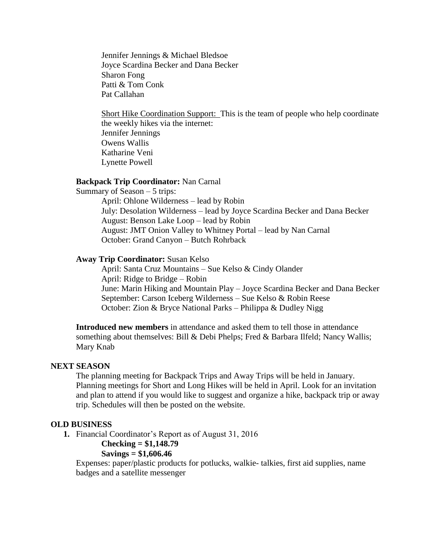Jennifer Jennings & Michael Bledsoe Joyce Scardina Becker and Dana Becker Sharon Fong Patti & Tom Conk Pat Callahan

Short Hike Coordination Support: This is the team of people who help coordinate the weekly hikes via the internet: Jennifer Jennings Owens Wallis Katharine Veni Lynette Powell

#### **Backpack Trip Coordinator:** Nan Carnal

Summary of Season – 5 trips: April: Ohlone Wilderness – lead by Robin July: Desolation Wilderness – lead by Joyce Scardina Becker and Dana Becker August: Benson Lake Loop – lead by Robin August: JMT Onion Valley to Whitney Portal – lead by Nan Carnal October: Grand Canyon – Butch Rohrback

#### **Away Trip Coordinator:** Susan Kelso

April: Santa Cruz Mountains – Sue Kelso & Cindy Olander April: Ridge to Bridge – Robin June: Marin Hiking and Mountain Play – Joyce Scardina Becker and Dana Becker September: Carson Iceberg Wilderness – Sue Kelso & Robin Reese October: Zion & Bryce National Parks – Philippa & Dudley Nigg

**Introduced new members** in attendance and asked them to tell those in attendance something about themselves: Bill & Debi Phelps; Fred & Barbara Ilfeld; Nancy Wallis; Mary Knab

#### **NEXT SEASON**

The planning meeting for Backpack Trips and Away Trips will be held in January. Planning meetings for Short and Long Hikes will be held in April. Look for an invitation and plan to attend if you would like to suggest and organize a hike, backpack trip or away trip. Schedules will then be posted on the website.

#### **OLD BUSINESS**

**1.** Financial Coordinator's Report as of August 31, 2016

#### **Checking = \$1,148.79**

#### **Savings = \$1,606.46**

Expenses: paper/plastic products for potlucks, walkie- talkies, first aid supplies, name badges and a satellite messenger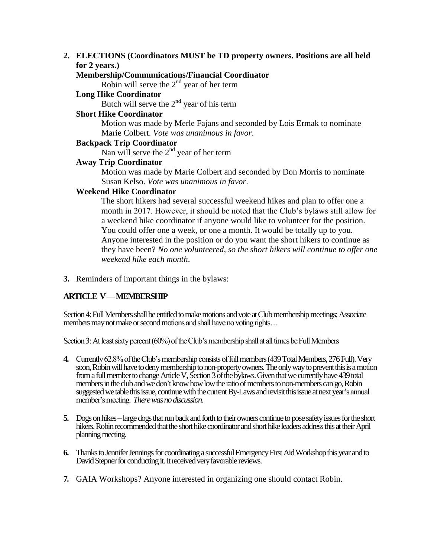## **2. ELECTIONS (Coordinators MUST be TD property owners. Positions are all held for 2 years.)**

## **Membership/Communications/Financial Coordinator**

Robin will serve the  $2<sup>nd</sup>$  year of her term

**Long Hike Coordinator**

Butch will serve the  $2<sup>nd</sup>$  year of his term

## **Short Hike Coordinator**

Motion was made by Merle Fajans and seconded by Lois Ermak to nominate Marie Colbert. *Vote was unanimous in favor*.

## **Backpack Trip Coordinator**

Nan will serve the  $2<sup>nd</sup>$  year of her term

## **Away Trip Coordinator**

Motion was made by Marie Colbert and seconded by Don Morris to nominate Susan Kelso. *Vote was unanimous in favor*.

#### **Weekend Hike Coordinator**

The short hikers had several successful weekend hikes and plan to offer one a month in 2017. However, it should be noted that the Club's bylaws still allow for a weekend hike coordinator if anyone would like to volunteer for the position. You could offer one a week, or one a month. It would be totally up to you. Anyone interested in the position or do you want the short hikers to continue as they have been? *No one volunteered, so the short hikers will continue to offer one weekend hike each month*.

**3.** Reminders of important things in the bylaws:

## **ARTICLE V —MEMBERSHIP**

Section 4: Full Members shall be entitled to make motions and vote at Club membership meetings; Associate members may not make or second motions and shall have no voting rights...

Section 3: At least sixty percent (60%) of the Club's membership shall at all times be Full Members

- **4.** Currently 62.8% of the Club's membership consists of full members(439 Total Members, 276 Full). Very soon, Robin will have to deny membership to non-property owners. The only way to prevent this is a motion from a full member to change Article V, Section 3 of the bylaws. Given that we currently have 439 total members in the club and we don't know how low the ratio of members to non-members can go, Robin suggested we table this issue, continue with the current By-Laws and revisit this issue at next year's annual member's meeting. *There was no discussion*.
- **5.** Dogs on hikes large dogs that run back and forth to their owners continue to pose safety issues for the short hikers. Robin recommended that the short hike coordinator and short hike leaders address this at their April planning meeting.
- **6.** Thanks to Jennifer Jennings for coordinating a successful Emergency First Aid Workshop this year and to David Stepner for conducting it. It received very favorable reviews.
- **7.** GAIA Workshops? Anyone interested in organizing one should contact Robin.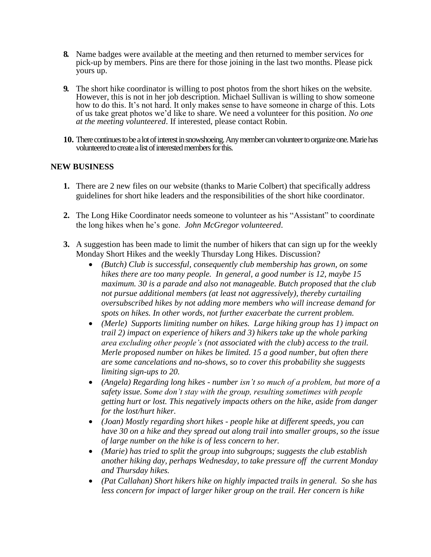- **8.** Name badges were available at the meeting and then returned to member services for pick-up by members. Pins are there for those joining in the last two months. Please pick yours up.
- **9.** The short hike coordinator is willing to post photos from the short hikes on the website. However, this is not in her job description. Michael Sullivan is willing to show someone how to do this. It's not hard. It only makes sense to have someone in charge of this. Lots of us take great photos we'd like to share. We need a volunteer for this position. *No one at the meeting volunteered*. If interested, please contact Robin.
- **10.** There continues to be a lot of interest in snowshoeing. Any member can volunteer to organize one. Marie has volunteered to create a listof interested members for this.

## **NEW BUSINESS**

- **1.** There are 2 new files on our website (thanks to Marie Colbert) that specifically address guidelines for short hike leaders and the responsibilities of the short hike coordinator.
- **2.** The Long Hike Coordinator needs someone to volunteer as his "Assistant" to coordinate the long hikes when he's gone. *John McGregor volunteered*.
- **3.** A suggestion has been made to limit the number of hikers that can sign up for the weekly Monday Short Hikes and the weekly Thursday Long Hikes. Discussion?
	- *(Butch) Club is successful, consequently club membership has grown, on some hikes there are too many people. In general, a good number is 12, maybe 15 maximum. 30 is a parade and also not manageable. Butch proposed that the club not pursue additional members (at least not aggressively), thereby curtailing oversubscribed hikes by not adding more members who will increase demand for spots on hikes. In other words, not further exacerbate the current problem.*
	- *(Merle) Supports limiting number on hikes. Large hiking group has 1) impact on trail 2) impact on experience of hikers and 3) hikers take up the whole parking area excluding other people's (not associated with the club) access to the trail. Merle proposed number on hikes be limited. 15 a good number, but often there are some cancelations and no-shows, so to cover this probability she suggests limiting sign-ups to 20.*
	- *(Angela) Regarding long hikes - number isn't so much of a problem, but more of a safety issue. Some don't stay with the group, resulting sometimes with people getting hurt or lost. This negatively impacts others on the hike, aside from danger for the lost/hurt hiker.*
	- *(Joan) Mostly regarding short hikes - people hike at different speeds, you can have 30 on a hike and they spread out along trail into smaller groups, so the issue of large number on the hike is of less concern to her.*
	- *(Marie) has tried to split the group into subgroups; suggests the club establish another hiking day, perhaps Wednesday, to take pressure off the current Monday and Thursday hikes.*
	- *(Pat Callahan) Short hikers hike on highly impacted trails in general. So she has less concern for impact of larger hiker group on the trail. Her concern is hike*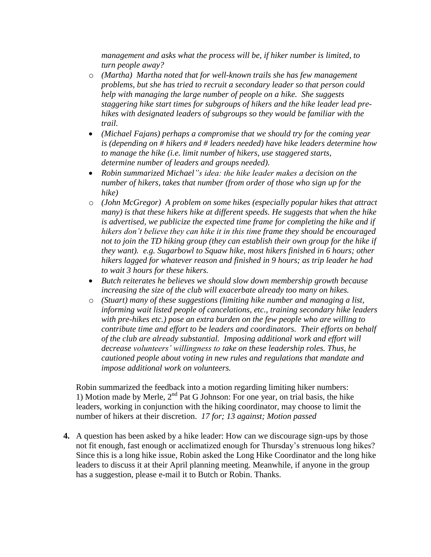*management and asks what the process will be, if hiker number is limited, to turn people away?*

- o *(Martha) Martha noted that for well-known trails she has few management problems, but she has tried to recruit a secondary leader so that person could help with managing the large number of people on a hike. She suggests staggering hike start times for subgroups of hikers and the hike leader lead prehikes with designated leaders of subgroups so they would be familiar with the trail.*
- *(Michael Fajans) perhaps a compromise that we should try for the coming year is (depending on # hikers and # leaders needed) have hike leaders determine how to manage the hike (i.e. limit number of hikers, use staggered starts, determine number of leaders and groups needed).*
- *Robin summarized Michael"s idea: the hike leader makes a decision on the number of hikers, takes that number (from order of those who sign up for the hike)*
- o *(John McGregor) A problem on some hikes (especially popular hikes that attract many) is that these hikers hike at different speeds. He suggests that when the hike is advertised, we publicize the expected time frame for completing the hike and if hikers don't believe they can hike it in this time frame they should be encouraged not to join the TD hiking group (they can establish their own group for the hike if they want). e.g. Sugarbowl to Squaw hike, most hikers finished in 6 hours; other hikers lagged for whatever reason and finished in 9 hours; as trip leader he had to wait 3 hours for these hikers.*
- *Butch reiterates he believes we should slow down membership growth because increasing the size of the club will exacerbate already too many on hikes.*
- o *(Stuart) many of these suggestions (limiting hike number and managing a list, informing wait listed people of cancelations, etc., training secondary hike leaders with pre-hikes etc.) pose an extra burden on the few people who are willing to contribute time and effort to be leaders and coordinators. Their efforts on behalf of the club are already substantial. Imposing additional work and effort will decrease volunteers' willingness to take on these leadership roles. Thus, he cautioned people about voting in new rules and regulations that mandate and impose additional work on volunteers.*

Robin summarized the feedback into a motion regarding limiting hiker numbers: 1) Motion made by Merle,  $2<sup>nd</sup>$  Pat G Johnson: For one year, on trial basis, the hike leaders, working in conjunction with the hiking coordinator, may choose to limit the number of hikers at their discretion. *17 for; 13 against; Motion passed*

**4.** A question has been asked by a hike leader: How can we discourage sign-ups by those not fit enough, fast enough or acclimatized enough for Thursday's strenuous long hikes? Since this is a long hike issue, Robin asked the Long Hike Coordinator and the long hike leaders to discuss it at their April planning meeting. Meanwhile, if anyone in the group has a suggestion, please e-mail it to Butch or Robin. Thanks.